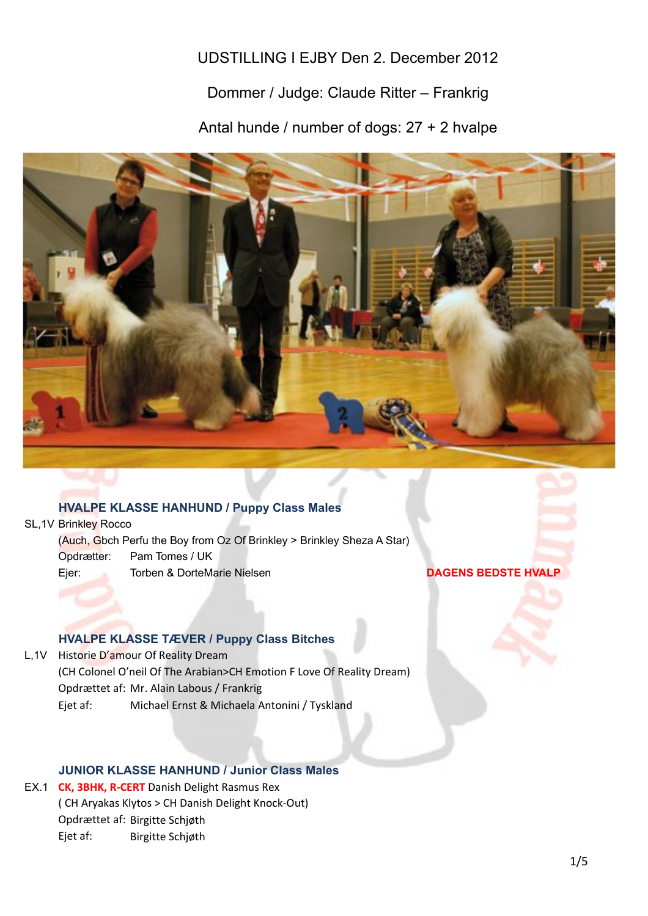# UDSTILLING I EJBY Den 2. December 2012

# Dommer / Judge: Claude Ritter – Frankrig

Antal hunde / number of dogs: 27 + 2 hvalpe



## **HVALPE KLASSE HANHUND / Puppy Class Males**

SL, 1V Brinkley Rocco Opdrætter: Pam Tomes / UK Ejer: Torben & DorteMarie Nielsen **DAGENS BEDSTE HVALP** (Auch, Gbch Perfu the Boy from Oz Of Brinkley > Brinkley Sheza A Star)

## **HVALPE KLASSE TÆVER / Puppy Class Bitches**

L,1V Historie D'amour Of Reality Dream (CH Colonel O'neil Of The Arabian>CH Emotion F Love Of Reality Dream) Opdrættet af: Mr. Alain Labous / Frankrig Ejet af: Michael Ernst & Michaela Antonini / Tyskland

## **JUNIOR KLASSE HANHUND / Junior Class Males**

EX.1 **CK, 3BHK, R-CERT** Danish Delight Rasmus Rex (CH Aryakas Klytos > CH Danish Delight Knock-Out) Opdrættet af: Birgitte Schjøth Ejet af: Birgitte Schjøth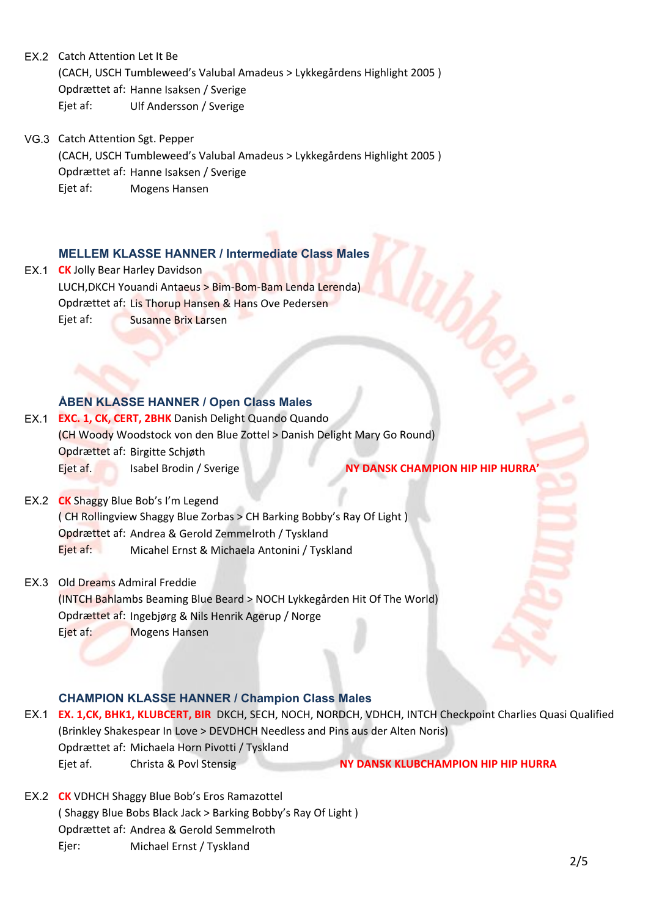EX.2 Catch Attention Let It Be (CACH, USCH Tumbleweed's Valubal Amadeus > Lykkegårdens Highlight 2005) Opdrættet af: Hanne Isaksen / Sverige Ejet af: Ulf Andersson / Sverige

VG.3 Catch Attention Sgt. Pepper (CACH, USCH Tumbleweed's Valubal Amadeus > Lykkegårdens Highlight 2005) Opdrættet af: Hanne Isaksen / Sverige Ejet af: Mogens Hansen

### **MELLEM KLASSE HANNER / Intermediate Class Males**

EX.1 **CK** Jolly Bear Harley Davidson LUCH,DKCH Youandi Antaeus > Bim-Bom-Bam Lenda Lerenda) Opdrættet af: Lis Thorup Hansen & Hans Ove Pedersen Ejet af: Susanne Brix Larsen

## **ÅBEN KLASSE HANNER / Open Class Males**

EX.1 **EXC. 1, CK, CERT, 2BHK** Danish Delight Quando Quando (CH Woody Woodstock von den Blue Zottel > Danish Delight Mary Go Round) Opdrættet af: Birgitte Schjøth Ejet+af. Isabel+Brodin+/+Sverige++++++++++++++++++++++++++++++++++++**\$\$\$NY\$DANSK\$CHAMPION\$HIP\$HIP\$HURRA'**

EX.2 **CK** Shaggy Blue Bob's I'm Legend (CH Rollingview Shaggy Blue Zorbas > CH Barking Bobby's Ray Of Light) Opdrættet+af: Andrea+&+Gerold+Zemmelroth+/+Tyskland Ejet af: Micahel Ernst & Michaela Antonini / Tyskland

EX.3 Old Dreams Admiral Freddie (INTCH+Bahlambs+Beaming+Blue+Beard+>+NOCH+Lykkegården+Hit+Of+The+World) Opdrættet af: Ingebjørg & Nils Henrik Agerup / Norge Ejet af: Mogens Hansen

## **CHAMPION KLASSE HANNER / Champion Class Males**

- EX.1 **EX. 1,CK, BHK1, KLUBCERT, BIR** DKCH, SECH, NOCH, NORDCH, VDHCH, INTCH Checkpoint Charlies Quasi Qualified (Brinkley Shakespear In Love > DEVDHCH Needless and Pins aus der Alten Noris) Opdrættet af: Michaela Horn Pivotti / Tyskland Ejet+af. Christa+&+Povl+Stensig++++++++++++++++++++++++++++++++++++++**NY\$DANSK\$KLUBCHAMPION\$HIP\$HIP\$HURRA**
- EX.2 **CK** VDHCH Shaggy Blue Bob's Eros Ramazottel (Shaggy Blue Bobs Black Jack > Barking Bobby's Ray Of Light) Opdrættet af: Andrea & Gerold Semmelroth Ejer: Michael Ernst / Tyskland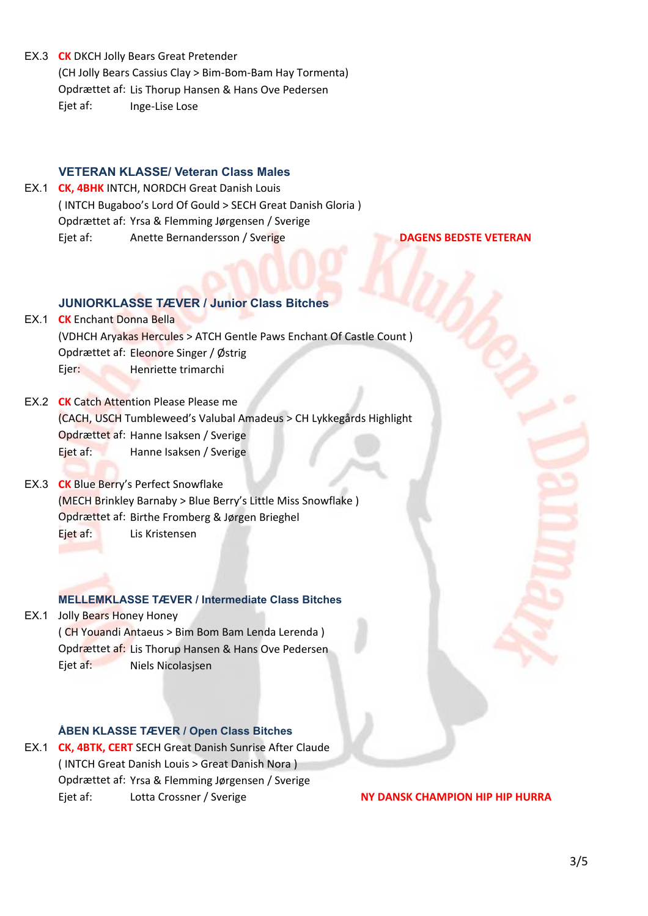EX.3 **CK** DKCH Jolly Bears Great Pretender (CH Jolly Bears Cassius Clay > Bim-Bom-Bam Hay Tormenta) Opdrættet af: Lis Thorup Hansen & Hans Ove Pedersen Ejet af: Inge-Lise Lose

### **VETERAN KLASSE/ Veteran Class Males**

EX.1 **CK, 4BHK** INTCH, NORDCH Great Danish Louis (INTCH Bugaboo's Lord Of Gould > SECH Great Danish Gloria) Opdrættet af: Yrsa & Flemming Jørgensen / Sverige Ejet+af: Anette+Bernandersson+/+Sverige+++++++++++++++++++++++++++**\$\$\$\$\$\$\$\$\$\$\$\$\$\$\$DAGENS\$BEDSTE\$VETERAN**

### **JUNIORKLASSE TÆVER / Junior Class Bitches**

- **EX.1 CK Enchant Donna Bella** (VDHCH Aryakas Hercules > ATCH Gentle Paws Enchant Of Castle Count) Opdrættet af: Eleonore Singer / Østrig Ejer: Henriette trimarchi
- EX.2 **CK** Catch Attention Please Please me (CACH, USCH Tumbleweed's Valubal Amadeus > CH Lykkegårds Highlight Opdrættet af: Hanne Isaksen / Sverige Ejet af: Hanne Isaksen / Sverige
- EX.3 **CK** Blue Berry's Perfect Snowflake (MECH Brinkley Barnaby > Blue Berry's Little Miss Snowflake) Opdrættet af: Birthe Fromberg & Jørgen Brieghel Eiet af: Lis Kristensen

### **MELLEMKLASSE TÆVER / Intermediate Class Bitches**

EX.1 Jolly Bears Honey Honey (CH Youandi Antaeus > Bim Bom Bam Lenda Lerenda) Opdrættet af: Lis Thorup Hansen & Hans Ove Pedersen Ejet af: Niels Nicolasjsen

### **ÅBEN KLASSE TÆVER / Open Class Bitches**

EX.1 **CK, 4BTK, CERT** SECH Great Danish Sunrise After Claude (INTCH Great Danish Louis > Great Danish Nora) Opdrættet af: Yrsa & Flemming Jørgensen / Sverige Ejet+af: Lotta+Crossner+/+Sverige+++++++++++++++++++++++++++++++++++++++++**\$NY\$DANSK\$CHAMPION\$HIP\$HIP\$HURRA\$**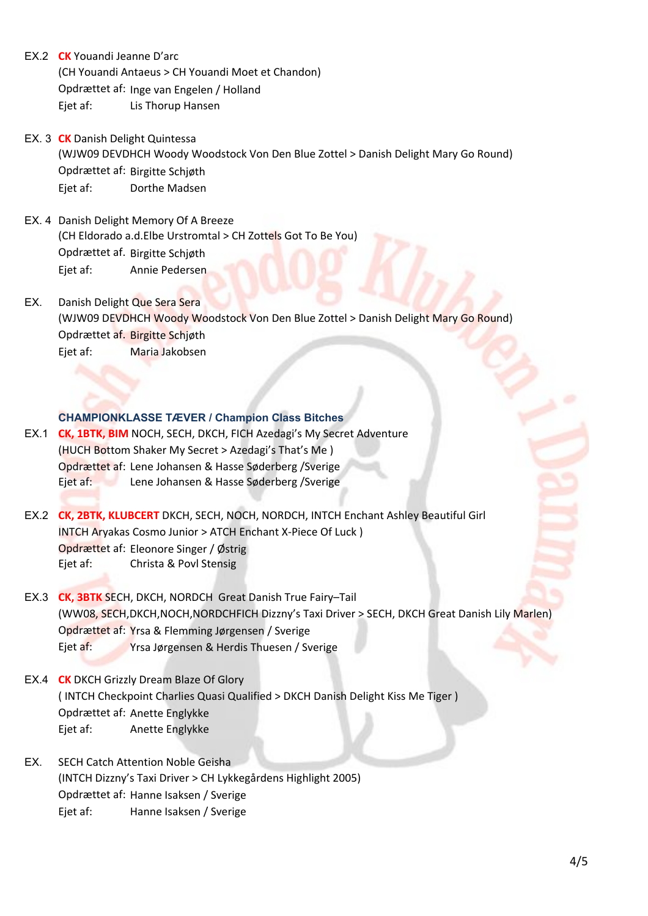- EX.2 **CK** Youandi Jeanne D'arc (CH Youandi Antaeus > CH Youandi Moet et Chandon) Opdrættet af: Inge van Engelen / Holland Ejet af: Lis Thorup Hansen
- EX. 3 **CK** Danish Delight Quintessa (WJW09 DEVDHCH Woody Woodstock Von Den Blue Zottel > Danish Delight Mary Go Round) Opdrættet af: Birgitte Schjøth Eiet af: Dorthe Madsen
- EX. 4 Danish Delight Memory Of A Breeze (CH Eldorado a.d.Elbe Urstromtal > CH Zottels Got To Be You) Opdrættet af. Birgitte Schjøth Ejet af: Annie Pedersen
- EX. Danish Delight Que Sera Sera (WJW09 DEVDHCH Woody Woodstock Von Den Blue Zottel > Danish Delight Mary Go Round) Opdrættet af. Birgitte Schjøth Eiet af: Maria Jakobsen

### **CHAMPIONKLASSE TÆVER / Champion Class Bitches**

- EX.1 **CK, 1BTK, BIM** NOCH, SECH, DKCH, FICH Azedagi's My Secret Adventure (HUCH Bottom Shaker My Secret > Azedagi's That's Me) Opdrættet af: Lene Johansen & Hasse Søderberg /Sverige Ejet af: Lene Johansen & Hasse Søderberg /Sverige
- EX.2 **CK, 2BTK, KLUBCERT** DKCH, SECH, NOCH, NORDCH, INTCH Enchant Ashley Beautiful Girl INTCH Aryakas Cosmo Junior > ATCH Enchant X-Piece Of Luck) Opdrættet af: Eleonore Singer / Østrig Ejet af: Christa & Povl Stensig
- EX.3 **CK, 3BTK SECH, DKCH, NORDCH Great Danish True Fairy–Tail** (WW08, SECH,DKCH,NOCH,NORDCHFICH Dizzny's Taxi Driver > SECH, DKCH Great Danish Lily Marlen) Opdrættet af: Yrsa & Flemming Jørgensen / Sverige Ejet af: Yrsa Jørgensen & Herdis Thuesen / Sverige
- EX.4 **CK** DKCH Grizzly Dream Blaze Of Glory (INTCH Checkpoint Charlies Quasi Qualified > DKCH Danish Delight Kiss Me Tiger) Opdrættet af: Anette Englykke Ejet af: Anette Englykke
- EX. SECH Catch Attention Noble Geisha (INTCH Dizzny's Taxi Driver > CH Lykkegårdens Highlight 2005) Opdrættet af: Hanne Isaksen / Sverige Ejet af: Hanne Isaksen / Sverige